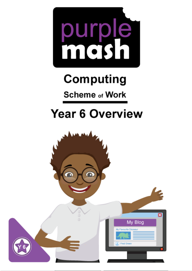

# **Computing**

**Scheme of Work** 

## **Year 6 Overview**

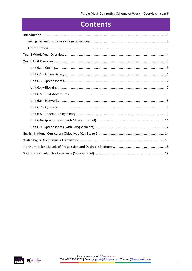## **Contents**

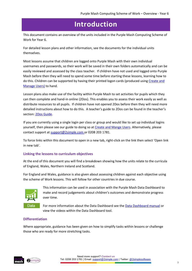### **Introduction**

<span id="page-2-0"></span>This document contains an overview of the units included in the Purple Mash Computing Scheme of Work for Year 6.

For detailed lesson plans and other information, see the documents for the individual units themselves.

Most lessons assume that children are logged onto Purple Mash with their own individual usernames and passwords, so their work will be saved in their own folders automatically and can be easily reviewed and assessed by the class teacher. If children have not used and logged onto Purple Mash before then they will need to spend some time before starting these lessons, learning how to do this. Children can be supported by having their printed logon cards (produced using Create and [Manage Users\)](https://www.purplemash.com/site#app/guides/Create_Manage_Users_Guide) to hand.

Lesson plans also make use of the facility within Purple Mash to set activities for pupils which they can then complete and hand-in online (2Dos). This enables you to assess their work easily as well as distribute resources to all pupils. If children have not opened 2Dos before then they will need more detailed instructions about how to do this. A teacher's guide to 2Dos can be found in the teacher's section[: 2Dos Guide.](https://www.purplemash.com/site#app/guides/2dos_pdf_Guide)

If you are currently using a single login per class or group and would like to set up individual logins yourself, then please see our guide to doing so at [Create and Mange Users.](https://www.purplemash.com/site#app/guides/Create_Manage_Users_Guide) Alternatively, please contact support at [support@2simple.com](mailto:support@2simple.com) or 0208 203 1781.

To force links within this document to open in a new tab, right-click on the link then select 'Open link in new tab'.

#### <span id="page-2-1"></span>**Linking the lessons to curriculum objectives**

At the end of this document you will find a breakdown showing how the units relate to the curricula of England, Wales, Northern Ireland and Scotland.

For England and Wales, guidance is also given about assessing children against each objective using the scheme of Work lessons. This will follow for other countries in due course.



This information can be used in association with the Purple Mash Data Dashboard to make and record judgements about children's outcomes and demonstrate progress over time.

For more information about the Data Dashboard see the [Data Dashboard manual](https://www.purplemash.com/app/guides/Data_Dashboard_Users_Guide) or view the videos within the Data Dashboard tool.

#### <span id="page-2-2"></span>**Differentiation**

Where appropriate, guidance has been given on how to simplify tasks within lessons or challenge those who are ready for more stretching tasks.

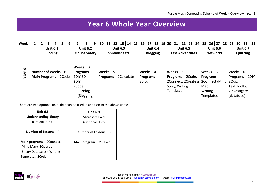## **Year 6 Whole Year Overview**

| <b>Week</b> |  | 3                                             |                           | 5 | 6 |                                     | 8                                        | 9 | 10         | 11 | 12 13 14 15 16 17                      |  |       |                                   |                 | 18   19   20 | 21                                        | 22 |                                           | 23 24 | 25 <sub>1</sub>                                                                                                       | 26   27   28   29                  |  |                                                                                       | $30$ 31                     | 32 |
|-------------|--|-----------------------------------------------|---------------------------|---|---|-------------------------------------|------------------------------------------|---|------------|----|----------------------------------------|--|-------|-----------------------------------|-----------------|--------------|-------------------------------------------|----|-------------------------------------------|-------|-----------------------------------------------------------------------------------------------------------------------|------------------------------------|--|---------------------------------------------------------------------------------------|-----------------------------|----|
| 9           |  |                                               | <b>Unit 6.1</b><br>Coding |   |   | Weeks $-3$                          | <b>Unit 6.2</b><br><b>Online Safety</b>  |   |            |    | <b>Unit 6.3</b><br><b>Spreadsheets</b> |  |       | <b>Blogging</b>                   | <b>Unit 6.4</b> |              |                                           |    | <b>Unit 6.5</b><br><b>Text Adventures</b> |       |                                                                                                                       | <b>Unit 6.6</b><br><b>Networks</b> |  |                                                                                       | <b>Unit 6.7</b><br>Quizzing |    |
| <b>YEAR</b> |  | Number of Weeks $-6$<br>Main Programs - 2Code |                           |   |   | 2DIY <sub>3D</sub><br>2DIY<br>2Code | <b>Programs</b> -<br>2Blog<br>(Blogging) |   | Weeks $-5$ |    | <b>Programs</b> – 2 Calculate          |  | 2Blog | Weeks $-4$<br><b>Programs</b> $-$ |                 |              | Weeks $-5$<br>Story, Writing<br>Templates |    | $\textsf{Programs} - 2\textsf{Code},$     |       | $Weeks - 3$<br>$Programs -$<br>2Connect, 2Create a 2Connect (Mind 2Quiz<br>Map)<br><b>Writing</b><br><b>Templates</b> |                                    |  | Weeks $-6$<br>$ Programs - 2D Y$<br><b>Text Toolkit</b><br>2Investigate<br>(database) |                             |    |

<span id="page-3-0"></span>There are two optional units that can be used in addition to the above units:

| <b>Unit 6.8</b><br><b>Understanding Binary</b><br>(Optional Unit)                                     | <b>Unit 6.9</b><br><b>Microsoft Excel</b><br>(Optional Unit) |
|-------------------------------------------------------------------------------------------------------|--------------------------------------------------------------|
| Number of Lessons $-4$                                                                                | Number of Lessons $-8$                                       |
| Main programs - 2Connect,<br>(Mind Map), 2Question<br>(Binary Databases), Writing<br>Templates, 2Code | Main program - MS Excel                                      |

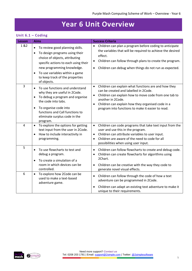## **Year 6 Unit Overview**

#### <span id="page-4-1"></span><span id="page-4-0"></span>**Unit 6.1 – Coding**

| Lesson | <b>Aims</b>                                                                                                                                                                                                                                                                                          | <b>Success Criteria</b>                                                                                                                                                                                                                                                                                                      |
|--------|------------------------------------------------------------------------------------------------------------------------------------------------------------------------------------------------------------------------------------------------------------------------------------------------------|------------------------------------------------------------------------------------------------------------------------------------------------------------------------------------------------------------------------------------------------------------------------------------------------------------------------------|
| 1 & 2  | To review good planning skills.<br>$\bullet$<br>To design programs using their<br>$\bullet$<br>choice of objects, attributing<br>specific actions to each using their<br>new programming knowledge.<br>To use variables within a game<br>$\bullet$<br>to keep track of the properties<br>of objects. | Children can plan a program before coding to anticipate<br>$\bullet$<br>the variables that will be required to achieve the desired<br>effect.<br>Children can follow through plans to create the program.<br>Children can debug when things do not run as expected.<br>$\bullet$                                             |
| 3      | To use functions and understand<br>$\bullet$<br>why they are useful in 2Code.<br>To debug a program and organise<br>$\bullet$<br>the code into tabs.<br>To organise code into<br>$\bullet$<br>functions and Call functions to<br>eliminate surplus code in the<br>program.                           | Children can explain what functions are and how they<br>$\bullet$<br>can be created and labelled in 2Code.<br>Children can explain how to move code from one tab to<br>$\bullet$<br>another in 2Code.<br>Children can explain how they organised code in a<br>$\bullet$<br>program into functions to make it easier to read. |
| 4      | To explore the options for getting<br>$\bullet$<br>text input from the user in 2Code.<br>How to include interactivity in<br>$\bullet$<br>programming.                                                                                                                                                | Children can code programs that take text input from the<br>$\bullet$<br>user and use this in the program.<br>Children can attribute variables to user input.<br>$\bullet$<br>Children are aware of the need to code for all<br>$\bullet$<br>possibilities when using user input.                                            |
| 5      | To use flowcharts to test and<br>$\bullet$<br>debug a program.<br>To create a simulation of a<br>room in which devices can be<br>controlled.                                                                                                                                                         | Children can follow flowcharts to create and debug code.<br>$\bullet$<br>Children can create flowcharts for algorithms using<br>$\bullet$<br>2Chart.<br>Children can be creative with the way they code to<br>generate novel visual effects.                                                                                 |
| 6      | To explore how 2Code can be<br>$\bullet$<br>used to make a text-based<br>adventure game.                                                                                                                                                                                                             | Children can follow through the code of how a text<br>$\bullet$<br>adventure can be programmed in 2Code.<br>Children can adapt an existing text adventure to make it<br>unique to their requirements.                                                                                                                        |

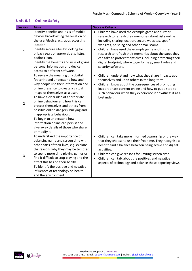#### <span id="page-5-0"></span>**Unit 6.2 – Online Safety**

| Lesson         | <b>Aims</b>                                                                                                                                                                                                                                                                                                                                                                                                                                                                                                 | <b>Success Criteria</b>                                                                                                                                                                                                                                                                                                                                                                                                                                                               |
|----------------|-------------------------------------------------------------------------------------------------------------------------------------------------------------------------------------------------------------------------------------------------------------------------------------------------------------------------------------------------------------------------------------------------------------------------------------------------------------------------------------------------------------|---------------------------------------------------------------------------------------------------------------------------------------------------------------------------------------------------------------------------------------------------------------------------------------------------------------------------------------------------------------------------------------------------------------------------------------------------------------------------------------|
| $\mathbf 1$    | Identify benefits and risks of mobile<br>devices broadcasting the location of<br>the user/device, e.g. apps accessing<br>location.<br>Identify secure sites by looking for<br>privacy seals of approval, e.g. https,<br>padlock icon.<br>Identify the benefits and risks of giving<br>personal information and device<br>access to different software.                                                                                                                                                      | Children have used the example game and further<br>$\bullet$<br>research to refresh their memories about risks online<br>including sharing location, secure websites, spoof<br>websites, phishing and other email scams.<br>Children have used the example game and further<br>research to refresh their memories about the steps they<br>can take to protect themselves including protecting their<br>digital footprint, where to go for help, smart rules and<br>security software. |
| $\overline{2}$ | To review the meaning of a digital<br>footprint and understand how and<br>why people use their information and<br>online presence to create a virtual<br>image of themselves as a user.<br>To have a clear idea of appropriate<br>online behaviour and how this can<br>protect themselves and others from<br>possible online dangers, bullying and<br>inappropriate behaviour.<br>To begin to understand how<br>information online can persist and<br>give away details of those who share<br>or modify it. | • Children understand how what they share impacts upon<br>themselves and upon others in the long-term.<br>Children know about the consequences of promoting<br>$\bullet$<br>inappropriate content online and how to put a stop to<br>such behaviour when they experience it or witness it as a<br>bystander.                                                                                                                                                                          |
| 3              | To understand the importance of<br>balancing game and screen time with<br>other parts of their lives, e.g. explore<br>the reasons why they may be tempted<br>to spend more time playing games or<br>find it difficult to stop playing and the<br>effect this has on their health.<br>To identify the positive and negative<br>influences of technology on health<br>and the environment.                                                                                                                    | Children can take more informed ownership of the way<br>$\bullet$<br>that they choose to use their free time. They recognise a<br>need to find a balance between being active and digital<br>activities.<br>Children can give reasons for limiting screen time.<br>Children can talk about the positives and negative<br>aspects of technology and balance these opposing views.                                                                                                      |

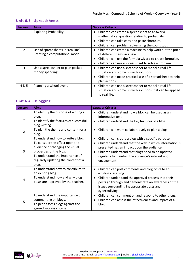#### <span id="page-6-0"></span>**Unit 6.3 - Spreadsheets**

| Lesson        | <b>Aims</b>                                                          | <b>Success Criteria</b>                                                                                                                                                                                           |
|---------------|----------------------------------------------------------------------|-------------------------------------------------------------------------------------------------------------------------------------------------------------------------------------------------------------------|
|               | <b>Exploring Probability</b>                                         | Children can create a spreadsheet to answer a<br>$\bullet$<br>mathematical question relating to probability.<br>• Children can take copy and paste shortcuts.<br>Children can problem solve using the count tool. |
| $\mathcal{P}$ | Use of spreadsheets in 'real life'<br>Creating a computational model | Children can create a machine to help work out the price<br>of different items in a sale.<br>Children can use the formula wizard to create formulae.<br>Children can use a spreadsheet to solve a problem.        |
| 3             | Use a spreadsheet to plan pocket<br>money spending                   | Children can use a spreadsheet to model a real-life<br>٠<br>situation and come up with solutions.<br>• Children can make practical use of a spreadsheet to help<br>plan actions.                                  |
| 4 & 5         | Planning a school event                                              | Children can use a spreadsheet to model a real-life<br>situation and come up with solutions that can be applied<br>to real life.                                                                                  |

#### <span id="page-6-1"></span>**Unit 6.4 – Blogging**

| Lesson         | <b>Aims</b>                                                                                                                                                                                                            | <b>Success Criteria</b>                                                                                                                                                                                                                                                                     |
|----------------|------------------------------------------------------------------------------------------------------------------------------------------------------------------------------------------------------------------------|---------------------------------------------------------------------------------------------------------------------------------------------------------------------------------------------------------------------------------------------------------------------------------------------|
| $\mathbf{1}$   | To identify the purpose of writing a<br>blog.<br>To identify the features of successful<br>blog writing.                                                                                                               | Children understand how a blog can be used as an<br>$\bullet$<br>informative text.<br>Children understand the key features of a blog.                                                                                                                                                       |
| $\mathcal{P}$  | To plan the theme and content for a<br>blog.                                                                                                                                                                           | Children can work collaboratively to plan a blog.                                                                                                                                                                                                                                           |
| 3              | To understand how to write a blog.<br>To consider the effect upon the<br>audience of changing the visual<br>properties of the blog.<br>To understand the importance of<br>regularly updating the content of a<br>blog. | Children can create a blog with a specific purpose.<br>٠<br>Children understand that the way in which information is<br>presented has an impact upon the audience.<br>Children understand that blogs need to be updated<br>regularly to maintain the audience's interest and<br>engagement. |
| $\overline{4}$ | To understand how to contribute to<br>an existing blog.<br>To understand how and why blog<br>posts are approved by the teacher.                                                                                        | Children can post comments and blog posts to an<br>existing class blog.<br>Children understand the approval process that their<br>posts go through and demonstrate an awareness of the<br>issues surrounding inappropriate posts and<br>cyberbullying.                                      |
| 5              | To understand the importance of<br>commenting on blogs.<br>To peer-assess blogs against the<br>agreed success criteria.                                                                                                | Children can comment on and respond to other blogs.<br>Children can assess the effectiveness and impact of a<br>blog.                                                                                                                                                                       |

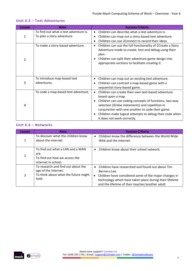| <b>Lesson</b>  | <b>Aims</b>                                |           | <b>Success Criteria</b>                                                                                                                                                                                                                                                                                                             |
|----------------|--------------------------------------------|-----------|-------------------------------------------------------------------------------------------------------------------------------------------------------------------------------------------------------------------------------------------------------------------------------------------------------------------------------------|
|                | To find out what a text adventure is.      |           | Children can describe what a text adventure is.                                                                                                                                                                                                                                                                                     |
| 1              | To plan a story adventure.                 |           | Children can map out a story-based text adventure.                                                                                                                                                                                                                                                                                  |
|                |                                            |           | Children can use 2Connect to record their ideas.                                                                                                                                                                                                                                                                                    |
| $\overline{2}$ | To make a story-based adventure.           |           | Children can use the full functionality of 2Create a Story<br>Adventure mode to create, test and debug using their<br>plan.<br>Children can split their adventure-game design into<br>appropriate sections to facilitate creating it.                                                                                               |
| 3              | To introduce map-based text<br>adventures. |           | Children can map out an existing text adventure.<br>Children can contrast a map-based game with a<br>sequential story-based game.                                                                                                                                                                                                   |
| 4              | To code a map-based text adventure.        | $\bullet$ | Children can create their own text-based adventure<br>based upon a map.<br>Children can use coding concepts of functions, two-way<br>selection (if/else statements) and repetition in<br>conjunction with one another to code their game.<br>Children make logical attempts to debug their code when<br>it does not work correctly. |

#### <span id="page-7-0"></span>**Unit 6.5 – Text Adventures**

#### <span id="page-7-1"></span>**Unit 6.6 – Networks**

| Lesson | <b>Aims</b>                                                                                                 | <b>Success Criteria</b>                                                                                                                                                                                                                                            |
|--------|-------------------------------------------------------------------------------------------------------------|--------------------------------------------------------------------------------------------------------------------------------------------------------------------------------------------------------------------------------------------------------------------|
| 1      | To discover what the children know<br>about the internet.                                                   | Children know the difference between the World Wide<br>$\bullet$<br>Web and the internet.                                                                                                                                                                          |
| 2      | To find out what a LAN and a WAN<br>are.<br>To find out how we access the<br>internet in school.            | Children know about their school network.<br>$\bullet$                                                                                                                                                                                                             |
| 3      | To research and find out about the<br>age of the internet.<br>To think about what the future might<br>hold. | Children have researched and found out about Tim<br>$\bullet$<br>Berners-Lee.<br>Children have considered some of the major changes in<br>$\bullet$<br>technology which have taken place during their lifetime<br>and the lifetime of their teacher/another adult. |

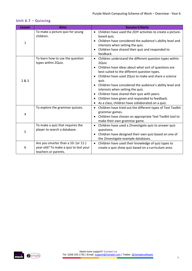|                    | <b>Aims</b>                                                                                          | <b>Success Criteria</b>                                                                                                                                                                                                                                                                                                                                                                                                                                                                                          |
|--------------------|------------------------------------------------------------------------------------------------------|------------------------------------------------------------------------------------------------------------------------------------------------------------------------------------------------------------------------------------------------------------------------------------------------------------------------------------------------------------------------------------------------------------------------------------------------------------------------------------------------------------------|
| <b>Lesson</b><br>1 | To make a picture quiz for young<br>children.                                                        | Children have used the 2DIY activities to create a picture-<br>based quiz.<br>Children have considered the audience's ability level and<br>interests when setting the quiz.<br>Children have shared their quiz and responded to                                                                                                                                                                                                                                                                                  |
| 2 & 3              | To learn how to use the question<br>types within 2Quiz.                                              | feedback.<br>Children understand the different question types within<br>2Quiz.<br>Children have ideas about what sort of questions are<br>best suited to the different question types.<br>Children have used 2Quiz to make and share a science<br>quiz.<br>Children have considered the audience's ability level and<br>interests when setting the quiz.<br>Children have shared their quiz with peers.<br>Children have given and responded to feedback.<br>• As a class, children have collaborated on a quiz. |
| 4                  | To explore the grammar quizzes.                                                                      | Children have tried out the different types of Text Toolkit<br>grammar games.<br>Children have chosen an appropriate Text Toolkit tool to<br>make their own grammar game.                                                                                                                                                                                                                                                                                                                                        |
| 5                  | To make a quiz that requires the<br>player to search a database.                                     | Children have used a 2Investigate quiz to answer quiz<br>questions.<br>Children have designed their own quiz based on one of<br>the 2Investigate example databases.                                                                                                                                                                                                                                                                                                                                              |
| 6                  | Are you smarter than a 10- (or 11-)<br>year-old? To make a quiz to test your<br>teachers or parents. | Children have used their knowledge of quiz types to<br>create a quiz show quiz based on a curriculum area.                                                                                                                                                                                                                                                                                                                                                                                                       |

#### <span id="page-8-0"></span>**Unit 6.7 – Quizzing**

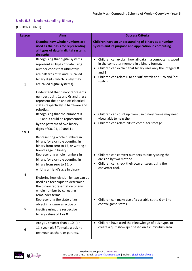#### <span id="page-9-0"></span>**Unit 6.8– Understanding Binary**

#### (OPTIONAL UNIT)

| <b>Lesson</b> | <b>Aims</b>                                                                                                                                                                                                                                                                                                                                                                         | <b>Success Criteria</b>                                                                                                                                                                                                                                  |
|---------------|-------------------------------------------------------------------------------------------------------------------------------------------------------------------------------------------------------------------------------------------------------------------------------------------------------------------------------------------------------------------------------------|----------------------------------------------------------------------------------------------------------------------------------------------------------------------------------------------------------------------------------------------------------|
|               | <b>Examine how whole numbers are</b><br>used as the basis for representing<br>all types of data in digital systems<br>through:                                                                                                                                                                                                                                                      | Children have an understanding of binary as a number<br>system and its purpose and application in computing.                                                                                                                                             |
| $\mathbf{1}$  | Recognising that digital systems<br>represent all types of data using<br>number codes that ultimately<br>are patterns of 1s and 0s (called<br>binary digits, which is why they<br>are called digital systems).<br>Understand that binary represents<br>numbers using 1s and 0s and these<br>represent the on and off electrical<br>states respectively in hardware and<br>robotics. | Children can explain how all data in a computer is saved<br>in the computer memory in a binary format.<br>Children can explain that binary uses only the integers 0<br>and $1.$<br>Children can relate 0 to an 'off' switch and 1 to and 'on'<br>switch. |
| 2 & 3         | Recognising that the numbers 0,<br>1, 2 and 3 could be represented<br>by the patterns of two binary<br>digits of 00, 01, 10 and 11<br>Representing whole numbers in<br>binary, for example counting in<br>binary from zero to 15, or writing a<br>friend's age in binary.                                                                                                           | Children can count up from 0 in binary. Some may need<br>$\bullet$<br>visual aids to help them.<br>Children can relate bits to computer storage.                                                                                                         |
| 4             | Representing whole numbers in<br>binary, for example counting in<br>binary from zero to 15, or<br>writing a friend's age in binary.<br>Exploring how division by two can be<br>used as a technique to determine<br>the binary representation of any<br>whole number by collecting<br>remainder terms                                                                                | Children can convert numbers to binary using the<br>$\bullet$<br>division by two method.<br>Children can check their own answers using the<br>converter tool.                                                                                            |
| 5             | Representing the state of an<br>object in a game as active or<br>inactive using the respective<br>binary values of 1 or 0                                                                                                                                                                                                                                                           | Children can make use of a variable set to 0 or 1 to<br>control game states.                                                                                                                                                                             |
| 6             | Are you smarter than a 10- (or<br>11-) year-old? To make a quiz to<br>test your teachers or parents.                                                                                                                                                                                                                                                                                | Children have used their knowledge of quiz types to<br>$\bullet$<br>create a quiz show quiz based on a curriculum area.                                                                                                                                  |

<span id="page-9-1"></span>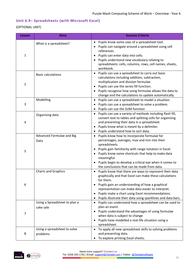#### <span id="page-10-0"></span>**Unit 6.9– Spreadsheets (with Microsoft Excel)**

#### (OPTIONAL UNIT)

| Lesson         | <b>Aims</b>                                | <b>Success Criteria</b>                                                                                                                                                                                                                                                                                                                                           |
|----------------|--------------------------------------------|-------------------------------------------------------------------------------------------------------------------------------------------------------------------------------------------------------------------------------------------------------------------------------------------------------------------------------------------------------------------|
| 1              | What is a spreadsheet?                     | Pupils know some uses of a spreadsheet tool.<br>Pupils can navigate around a spreadsheet using cell<br>references.<br>Pupils can enter data into cells.<br>Pupils understand new vocabulary relating to<br>spreadsheets: cells, columns, rows, cell names, sheets,<br>workbook.                                                                                   |
| $\overline{2}$ | <b>Basic calculations</b>                  | Pupils can use a spreadsheet to carry out basic<br>calculations including addition, subtraction,<br>multiplication and division formulae.<br>Pupils can use the series fill function.<br>Pupils recognise how using formulae allows the data to<br>change and the calculations to update automatically.                                                           |
| 3              | Modelling                                  | Pupils can use a spreadsheet to model a situation.<br>Pupils can use a spreadsheet to solve a problem.<br>Pupils can use the SUM function                                                                                                                                                                                                                         |
| 4              | Organising data                            | Pupils can use a variety of methods including flash fill,<br>$\bullet$<br>convert text to tables and splitting cells for organising<br>and presenting their data in a spreadsheet.<br>Pupils know what is meant by a delimiter.<br>Pupils understand how to sort data.                                                                                            |
| 5              | Advanced Formulae and Big<br>Data          | Pupils know how to incorporate formulae for<br>$\bullet$<br>percentages, averages, max and min into their<br>spreadsheets.<br>Pupils gain familiarity with range notation in Excel.<br>Pupils know some shortcuts that help to make data<br>meaningful.<br>Pupils begin to develop a critical eye when it comes to<br>the conclusions that can be made from data. |
| 6              | <b>Charts and Graphics</b>                 | Pupils know that there are ways to represent their data<br>graphically and that Excel can make these calculations<br>for them.<br>Pupils gain an understanding of how a graphical<br>representation can make data easier to interpret.<br>Pupils make a chart using Excel recommendations.<br>Pupils illustrate their data using sparklines and data bars.        |
| 7              | Using a Spreadsheet to plan a<br>cake sale | Pupils can understand how a spreadsheet can be used to<br>plan an event.<br>Pupils understand the advantages of using formulae<br>when data is subject to change<br>Pupils have modelled a real-life situation using a<br>spreadsheet.                                                                                                                            |
| 8              | Using a spreadsheet to solve<br>problems   | To apply all new spreadsheet skills to solving problems<br>and presenting data.<br>To explore printing Excel sheets.                                                                                                                                                                                                                                              |

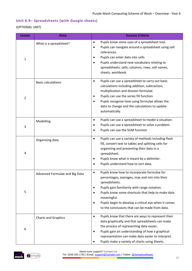#### <span id="page-11-0"></span>**Unit 6.9– Spreadsheets (with Google sheets)**

#### (OPTIONAL UNIT)

| <b>Lesson</b>  | <b>Aims</b>                    | <b>Success Criteria</b>                                                                                                                                                                                                                                                                                                                                                 |  |
|----------------|--------------------------------|-------------------------------------------------------------------------------------------------------------------------------------------------------------------------------------------------------------------------------------------------------------------------------------------------------------------------------------------------------------------------|--|
| 1              | What is a spreadsheet?         | Pupils know some uses of a spreadsheet tool.<br>$\bullet$<br>Pupils can navigate around a spreadsheet using cell<br>$\bullet$<br>references.<br>Pupils can enter data into cells.<br>٠<br>Pupils understand new vocabulary relating to<br>$\bullet$<br>spreadsheets: cells, columns, rows, cell names,<br>sheets, workbook.                                             |  |
| $\overline{2}$ | <b>Basic calculations</b>      | Pupils can use a spreadsheet to carry out basic<br>$\bullet$<br>calculations including addition, subtraction,<br>multiplication and division formulae.<br>Pupils can use the series fill function.<br>٠<br>Pupils recognise how using formulae allows the<br>$\bullet$<br>data to change and the calculations to update<br>automatically.                               |  |
| 3              | Modelling                      | Pupils can use a spreadsheet to model a situation.<br>$\bullet$<br>Pupils can use a spreadsheet to solve a problem.<br>٠<br>Pupils can use the SUM function<br>٠                                                                                                                                                                                                        |  |
| 4              | Organising data                | Pupils can use a variety of methods including flash<br>$\bullet$<br>fill, convert text to tables and splitting cells for<br>organising and presenting their data in a<br>spreadsheet.<br>Pupils know what is meant by a delimiter.<br>٠<br>Pupils understand how to sort data.                                                                                          |  |
| 5              | Advanced Formulae and Big Data | Pupils know how to incorporate formulae for<br>٠<br>percentages, averages, max and min into their<br>spreadsheets.<br>Pupils gain familiarity with range notation.<br>٠<br>Pupils know some shortcuts that help to make data<br>٠<br>meaningful.<br>Pupils begin to develop a critical eye when it comes<br>$\bullet$<br>to the conclusions that can be made from data. |  |
| 6              | <b>Charts and Graphics</b>     | Pupils know that there are ways to represent their<br>$\bullet$<br>data graphically and that spreadsheets can make<br>the process of representing data easier.<br>Pupils gain an understanding of how a graphical<br>٠<br>representation can make data easier to interpret.<br>Pupils make a variety of charts using Sheets.                                            |  |

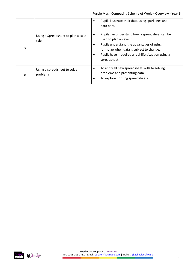|   |                                            | Pupils illustrate their data using sparklines and<br>$\bullet$<br>data bars.                                                                                                                                                            |
|---|--------------------------------------------|-----------------------------------------------------------------------------------------------------------------------------------------------------------------------------------------------------------------------------------------|
|   | Using a Spreadsheet to plan a cake<br>sale | Pupils can understand how a spreadsheet can be<br>used to plan an event.<br>Pupils understand the advantages of using<br>formulae when data is subject to change.<br>Pupils have modelled a real-life situation using a<br>spreadsheet. |
| 8 | Using a spreadsheet to solve<br>problems   | To apply all new spreadsheet skills to solving<br>problems and presenting data.<br>To explore printing spreadsheets.                                                                                                                    |

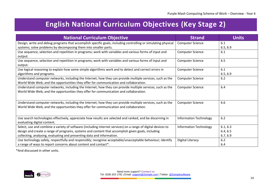## **English National Curriculum Objectives (Key Stage 2)**

| <b>National Curriculum Objective</b>                                                                          | <b>Strand</b>                 | <b>Units</b> |
|---------------------------------------------------------------------------------------------------------------|-------------------------------|--------------|
| Design, write and debug programs that accomplish specific goals, including controlling or simulating physical | <b>Computer Science</b>       | 6.1          |
| systems; solve problems by decomposing them into smaller parts.                                               |                               | 6.5, 6.9     |
| Use sequence, selection and repetition in programs; work with variables and various forms of input and        | <b>Computer Science</b>       | 6.1          |
| output.                                                                                                       |                               |              |
| Use sequence, selection and repetition in programs; work with variables and various forms of input and        | <b>Computer Science</b>       | 6.5          |
| output.                                                                                                       |                               |              |
| Use logical reasoning to explain how some simple algorithms work and to detect and correct errors in          | <b>Computer Science</b>       | 6.1          |
| algorithms and programs.                                                                                      |                               | 6.5, 6.9     |
| Understand computer networks, including the Internet; how they can provide multiple services, such as the     | <b>Computer Science</b>       | 6.2          |
| World Wide Web; and the opportunities they offer for communication and collaboration.                         |                               |              |
| Understand computer networks, including the Internet; how they can provide multiple services, such as the     | <b>Computer Science</b>       | 6.4          |
| World Wide Web; and the opportunities they offer for communication and collaboration.                         |                               |              |
|                                                                                                               |                               |              |
| Understand computer networks, including the Internet; how they can provide multiple services, such as the     | <b>Computer Science</b>       | 6.6          |
| World Wide Web; and the opportunities they offer for communication and collaboration.                         |                               |              |
|                                                                                                               |                               |              |
| Use search technologies effectively, appreciate how results are selected and ranked, and be discerning in     | <b>Information Technology</b> | 6.2          |
| evaluating digital content.                                                                                   |                               |              |
| Select, use and combine a variety of software (including internet services) on a range of digital devices to  | <b>Information Technology</b> | 6.1, 6.3     |
| design and create a range of programs, systems and content that accomplish given goals, including             |                               | 6.4, 6.5     |
| collecting, analysing, evaluating and presenting data and information.                                        |                               | 6.7, 6.9     |
| Use technology safely, respectfully and responsibly; recognise acceptable/unacceptable behaviour; identify    | Digital Literacy              | $6.2$        |
| a range of ways to report concerns about content and contact*.                                                |                               | 6.4          |

<span id="page-13-0"></span>\*And discussed in other units.

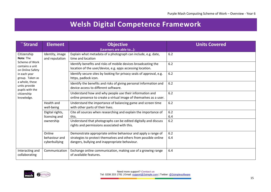## **Welsh Digital Competence Framework**

<span id="page-14-0"></span>

| <b>Strand</b>                                                                                                                                                                                           | <b>Element</b>                           | <b>Objective</b>                                                                                                                                                                    | <b>Units Covered</b> |
|---------------------------------------------------------------------------------------------------------------------------------------------------------------------------------------------------------|------------------------------------------|-------------------------------------------------------------------------------------------------------------------------------------------------------------------------------------|----------------------|
|                                                                                                                                                                                                         |                                          | (Learners are able to):                                                                                                                                                             |                      |
| Citizenship<br>Note: The<br>Scheme of Work<br>contains a unit<br>on Online Safety<br>in each year<br>group. Taken as<br>a whole, these<br>units provide<br>pupils with the<br>citizenship<br>knowledge. | Identity, image<br>and reputation        | Explain what metadata of a photograph can include, e.g. date,<br>time and location                                                                                                  | 6.2                  |
|                                                                                                                                                                                                         |                                          | Identify benefits and risks of mobile devices broadcasting the<br>location of the user/device, e.g. apps accessing location.                                                        | 6.2                  |
|                                                                                                                                                                                                         |                                          | Identify secure sites by looking for privacy seals of approval, e.g.<br>https, padlock icon.                                                                                        | 6.2                  |
|                                                                                                                                                                                                         |                                          | Identify the benefits and risks of giving personal information and<br>device access to different software.                                                                          | 6.2                  |
|                                                                                                                                                                                                         |                                          | Understand how and why people use their information and<br>online presence to create a virtual image of themselves as a user.                                                       | $6.2$                |
|                                                                                                                                                                                                         | <b>Health and</b><br>well-being          | Understand the importance of balancing game and screen time<br>with other parts of their lives.                                                                                     | 6.2                  |
|                                                                                                                                                                                                         | Digital rights,<br>licensing and         | Cite all sources when researching and explain the importance of<br>this.                                                                                                            | 6.2<br>6.4           |
|                                                                                                                                                                                                         | ownership                                | Understand that photographs can be edited digitally and discuss<br>rights and permissions associated with this.                                                                     | 6.2                  |
|                                                                                                                                                                                                         | Online<br>behaviour and<br>cyberbullying | Demonstrate appropriate online behaviour and apply a range of<br>strategies to protect themselves and others from possible online<br>dangers, bullying and inappropriate behaviour. | 6.2<br>6.4           |
| Interacting and<br>collaborating                                                                                                                                                                        | Communication                            | Exchange online communication, making use of a growing range<br>of available features.                                                                                              | 6.4                  |

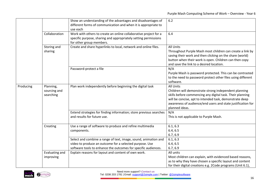|           |                                        | Show an understanding of the advantages and disadvantages of<br>different forms of communication and when it is appropriate to<br>use each                                                   | $6.2$                                                                                                                                                                                                                                                                              |
|-----------|----------------------------------------|----------------------------------------------------------------------------------------------------------------------------------------------------------------------------------------------|------------------------------------------------------------------------------------------------------------------------------------------------------------------------------------------------------------------------------------------------------------------------------------|
|           | Collaboration                          | Work with others to create an online collaborative project for a<br>specific purpose, sharing and appropriately setting permissions<br>for other group members.                              | 6.4                                                                                                                                                                                                                                                                                |
|           | Storing and<br>sharing                 | Create and share hyperlinks to local, network and online files.                                                                                                                              | <b>All Units</b><br>Throughout Purple Mash most children can create a link by<br>saving their work and then clicking on the share (world)<br>button when their work is open. Children can then copy<br>and save the link to a desired location.                                    |
|           |                                        | Password-protect a file                                                                                                                                                                      | N/A<br>Purple Mash is password protected. This can be contrasted<br>to the need to password protect other files using different<br>software.                                                                                                                                       |
| Producing | Planning,<br>sourcing and<br>searching | Plan work independently before beginning the digital task                                                                                                                                    | <b>All Units</b><br>Children will demonstrate strong independent planning<br>skills before commencing any digital task. Their planning<br>will be concise, apt to intended task, demonstrate deep<br>awareness of audience/end users and state justification for<br>planned ideas. |
|           |                                        | Extend strategies for finding information; store previous searches<br>and results for future use.                                                                                            | N/A<br>This is not applicable to Purple Mash.                                                                                                                                                                                                                                      |
|           | Creating                               | Use a range of software to produce and refine multimedia<br>components.                                                                                                                      | 6.1, 6.3<br>6.4, 6.5<br>6.7, 6.9                                                                                                                                                                                                                                                   |
|           |                                        | Select and combine a range of text, image, sound, animation and<br>video to produce an outcome for a selected purpose. Use<br>software tools to enhance the outcomes for specific audiences. | 6.1, 6.3<br>6.4, 6.5<br>6.7, 6.9                                                                                                                                                                                                                                                   |
|           | Evaluating and<br>improving            | Explain reasons for layout and content of own work.                                                                                                                                          | All units<br>Most children can explain, with evidenced based reasons,<br>as to why they have chosen a specific layout and content<br>for their digital creations e.g. 2Code programs (Unit 6.1),                                                                                   |



Need more support? *Contact us*

Tel: 0208 203 1781 | Email: [support@2simple.com](mailto:support@2simple.com?subject=Serial%20Mash) | Twitter[: @2simplesoftware](http://twitter.com/2simplesoftware)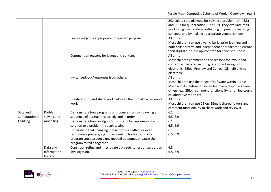|                           |                                     |                                                                                                                                                                                                                | 2Calculate spreadsheets for solving a problem (Unit 6.3)<br>and 2DIY for quiz creation (Unit 6.7). They evaluate their<br>work using given criteria, reflecting on previous learning<br>concepts and by making appropriate generalisations. |
|---------------------------|-------------------------------------|----------------------------------------------------------------------------------------------------------------------------------------------------------------------------------------------------------------|---------------------------------------------------------------------------------------------------------------------------------------------------------------------------------------------------------------------------------------------|
|                           |                                     | Ensure output is appropriate for specific purpose.                                                                                                                                                             | All units<br>Most children can use given criteria, prior learning and<br>both collaborative and independent approaches to ensure<br>their digital output is appropriate for specific purpose.                                               |
|                           |                                     | Comment on reasons for layout and content.                                                                                                                                                                     | All units<br>Most children comment on the reasons for layout and<br>content across a range of digital content using both<br>electronic (2Blog, Preview and Correct, 2Email) and non-<br>electronic.                                         |
|                           |                                     | Invite feedback/responses from others.                                                                                                                                                                         | All units<br>Most children use the range of software within Purple<br>Mash and its features to invite feedback/responses from<br>others, e.g. 2Blog, comment functionality for online-work,<br>collaborative mode etc.                      |
|                           |                                     | Create groups and share work between them to allow review of<br>work.                                                                                                                                          | All units<br>Most children can use 2Blog, 2Email, shared folders and<br>comment functionality to share work and review it.                                                                                                                  |
| Data and<br>Computational | Problem<br>solving and              | Demonstrate how programs or processes run by following a<br>sequence of instructions exactly and in order                                                                                                      | 6.1<br>6.5, 6.9                                                                                                                                                                                                                             |
| Thinking                  | modelling                           | Demonstrate how an algorithm is useful for representing a<br>solution to a problem through testing                                                                                                             | 6.1<br>6.5, 6.9                                                                                                                                                                                                                             |
|                           |                                     | Understand that changing instructions can affect or even<br>terminate a process, e.g. moving instructions around in a<br>program could produce unexpected outcomes or cause the<br>program to fail altogether. | 6.1<br>6.5, 6.9                                                                                                                                                                                                                             |
|                           | Data and<br>information<br>literacy | Construct, refine and interrogate data sets to test or support an<br>investigation.                                                                                                                            | 6.3<br>6.5, 6.9                                                                                                                                                                                                                             |

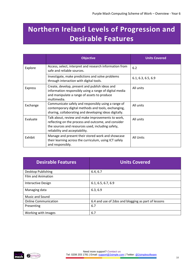## <span id="page-17-0"></span>**Northern Ireland Levels of Progression and Desirable Features**

|                | <b>Objective</b>                                                                                                                                                                                | <b>Units Covered</b> |
|----------------|-------------------------------------------------------------------------------------------------------------------------------------------------------------------------------------------------|----------------------|
| Explore        | Access, select, interpret and research information from<br>safe and reliable sources.                                                                                                           | 6.2                  |
|                | Investigate, make predictions and solve problems<br>through interaction with digital tools.                                                                                                     | 6.1, 6.3, 6.5, 6.9   |
| <b>Express</b> | Create, develop, present and publish ideas and<br>information responsibly using a range of digital media<br>and manipulate a range of assets to produce<br>multimedia.                          | All units            |
| Exchange       | Communicate safely and responsibly using a range of<br>contemporary digital methods and tools, exchanging,<br>sharing, collaborating and developing ideas digitally.                            | All units            |
| Evaluate       | Talk about, review and make improvements to work,<br>reflecting on the process and outcome, and consider<br>the sources and resources used, including safety,<br>reliability and acceptability. | All units            |
| Exhibit        | Manage and present their stored work and showcase<br>their learning across the curriculum, using ICT safely<br>and responsibly.                                                                 | <b>All Units</b>     |

| <b>Desirable Features</b>   | <b>Units Covered</b>                                |
|-----------------------------|-----------------------------------------------------|
| Desktop Publishing          | 6.4, 6.7                                            |
| <b>Film and Animation</b>   |                                                     |
| Interactive Design          | 6.1, 6.5, 6.7, 6.9                                  |
| Managing data               | 6.3, 6.9                                            |
| Music and Sound             |                                                     |
| <b>Online Communication</b> | 6.4 and use of 2dos and blogging as part of lessons |
| Presenting                  | 6.7                                                 |
| Working with Images         | 6.7                                                 |

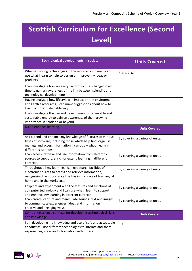## <span id="page-18-0"></span>**Scottish Curriculum for Excellence (Second Level)**

| <b>Technological developments in society</b>                                                                                                                                                                          | <b>Units Covered</b>            |
|-----------------------------------------------------------------------------------------------------------------------------------------------------------------------------------------------------------------------|---------------------------------|
| When exploring technologies in the world around me, I can<br>use what I learn to help to design or improve my ideas or<br>products.                                                                                   | 6.5, 6.7, 6.9                   |
| I can investigate how an everyday product has changed over<br>time to gain an awareness of the link between scientific and<br>technological developments                                                              |                                 |
| Having analysed how lifestyle can impact on the environment<br>and Earth's resources, I can make suggestions about how to<br>live in a more sustainable way.                                                          |                                 |
| I can investigate the use and development of renewable and<br>sustainable energy to gain an awareness of their growing<br>importance in Scotland or beyond.                                                           |                                 |
| ICT to enhance learning                                                                                                                                                                                               | <b>Units Covered</b>            |
| As I extend and enhance my knowledge of features of various<br>types of software, including those which help find, organise,<br>manage and access information, I can apply what I learn in<br>different situations.   | By covering a variety of units. |
| I can access, retrieve and use information from electronic<br>sources to support, enrich or extend learning in different<br>contexts.                                                                                 | By covering a variety of units. |
| Throughout all my learning, I can use search facilities of<br>electronic sources to access and retrieve information,<br>recognising the importance this has in my place of learning, at<br>home and in the workplace. | By covering a variety of units. |
| I explore and experiment with the features and functions of<br>computer technology and I can use what I learn to support<br>and enhance my learning in different contexts.                                            | By covering a variety of units. |
| I can create, capture and manipulate sounds, text and images<br>to communicate experiences, ideas and information in<br>creative and engaging ways.                                                                   | By covering a variety of units. |
| Computing science contexts for developing technological skills<br>and knowledge                                                                                                                                       | <b>Units Covered</b>            |
| I am developing my knowledge and use of safe and acceptable<br>conduct as I use different technologies to interact and share<br>experiences, ideas and information with others                                        | 6.2                             |